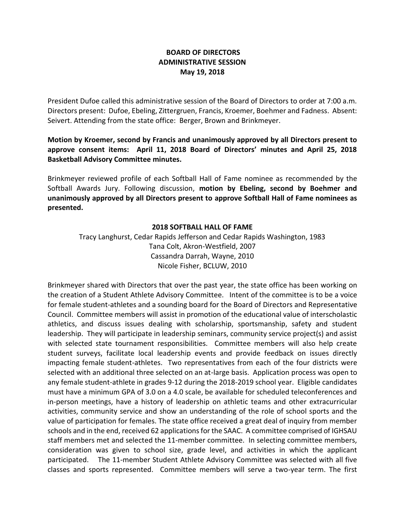## **BOARD OF DIRECTORS ADMINISTRATIVE SESSION May 19, 2018**

President Dufoe called this administrative session of the Board of Directors to order at 7:00 a.m. Directors present: Dufoe, Ebeling, Zittergruen, Francis, Kroemer, Boehmer and Fadness. Absent: Seivert. Attending from the state office: Berger, Brown and Brinkmeyer.

**Motion by Kroemer, second by Francis and unanimously approved by all Directors present to approve consent items: April 11, 2018 Board of Directors' minutes and April 25, 2018 Basketball Advisory Committee minutes.**

Brinkmeyer reviewed profile of each Softball Hall of Fame nominee as recommended by the Softball Awards Jury. Following discussion, **motion by Ebeling, second by Boehmer and unanimously approved by all Directors present to approve Softball Hall of Fame nominees as presented.**

## **2018 SOFTBALL HALL OF FAME**

Tracy Langhurst, Cedar Rapids Jefferson and Cedar Rapids Washington, 1983 Tana Colt, Akron-Westfield, 2007 Cassandra Darrah, Wayne, 2010 Nicole Fisher, BCLUW, 2010

Brinkmeyer shared with Directors that over the past year, the state office has been working on the creation of a Student Athlete Advisory Committee. Intent of the committee is to be a voice for female student-athletes and a sounding board for the Board of Directors and Representative Council. Committee members will assist in promotion of the educational value of interscholastic athletics, and discuss issues dealing with scholarship, sportsmanship, safety and student leadership. They will participate in leadership seminars, community service project(s) and assist with selected state tournament responsibilities. Committee members will also help create student surveys, facilitate local leadership events and provide feedback on issues directly impacting female student-athletes. Two representatives from each of the four districts were selected with an additional three selected on an at-large basis. Application process was open to any female student-athlete in grades 9-12 during the 2018-2019 school year. Eligible candidates must have a minimum GPA of 3.0 on a 4.0 scale, be available for scheduled teleconferences and in-person meetings, have a history of leadership on athletic teams and other extracurricular activities, community service and show an understanding of the role of school sports and the value of participation for females. The state office received a great deal of inquiry from member schools and in the end, received 62 applications for the SAAC. A committee comprised of IGHSAU staff members met and selected the 11-member committee. In selecting committee members, consideration was given to school size, grade level, and activities in which the applicant participated. The 11-member Student Athlete Advisory Committee was selected with all five classes and sports represented. Committee members will serve a two-year term. The first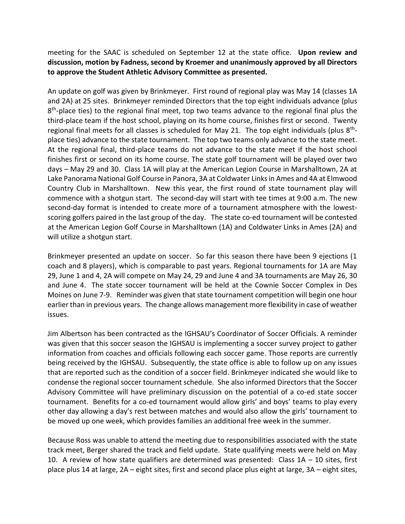meeting for the SAAC is scheduled on September 12 at the state office. **Upon review and discussion, motion by Fadness, second by Kroemer and unanimously approved by all Directors to approve the Student Athletic Advisory Committee as presented.** 

An update on golf was given by Brinkmeyer. First round of regional play was May 14 (classes 1A and 2A) at 25 sites. Brinkmeyer reminded Directors that the top eight individuals advance (plus 8<sup>th</sup>-place ties) to the regional final meet, top two teams advance to the regional final plus the third-place team if the host school, playing on its home course, finishes first or second. Twenty regional final meets for all classes is scheduled for May 21. The top eight individuals (plus 8<sup>th</sup>place ties) advance to the state tournament. The top two teams only advance to the state meet. At the regional final, third-place teams do not advance to the state meet if the host school finishes first or second on its home course. The state golf tournament will be played over two days – May 29 and 30. Class 1A will play at the American Legion Course in Marshalltown, 2A at Lake Panorama National Golf Course in Panora, 3A at Coldwater Links in Ames and 4A at Elmwood Country Club in Marshalltown. New this year, the first round of state tournament play will commence with a shotgun start. The second-day will start with tee times at 9:00 a.m. The new second-day format is intended to create more of a tournament atmosphere with the lowestscoring golfers paired in the last group of the day. The state co-ed tournament will be contested at the American Legion Golf Course in Marshalltown (1A) and Coldwater Links in Ames (2A) and will utilize a shotgun start.

Brinkmeyer presented an update on soccer. So far this season there have been 9 ejections (1 coach and 8 players), which is comparable to past years. Regional tournaments for 1A are May 29, June 1 and 4, 2A will compete on May 24, 29 and June 4 and 3A tournaments are May 26, 30 and June 4. The state soccer tournament will be held at the Cownie Soccer Complex in Des Moines on June 7-9. Reminder was given that state tournament competition will begin one hour earlier than in previous years. The change allows management more flexibility in case of weather issues.

Jim Albertson has been contracted as the IGHSAU's Coordinator of Soccer Officials. A reminder was given that this soccer season the IGHSAU is implementing a soccer survey project to gather information from coaches and officials following each soccer game. Those reports are currently being received by the IGHSAU. Subsequently, the state office is able to follow up on any issues that are reported such as the condition of a soccer field. Brinkmeyer indicated she would like to condense the regional soccer tournament schedule. She also informed Directors that the Soccer Advisory Committee will have preliminary discussion on the potential of a co-ed state soccer tournament. Benefits for a co-ed tournament would allow girls' and boys' teams to play every other day allowing a day's rest between matches and would also allow the girls' tournament to be moved up one week, which provides families an additional free week in the summer.

Because Ross was unable to attend the meeting due to responsibilities associated with the state track meet, Berger shared the track and field update. State qualifying meets were held on May 10. A review of how state qualifiers are determined was presented: Class 1A – 10 sites, first place plus 14 at large, 2A – eight sites, first and second place plus eight at large, 3A – eight sites,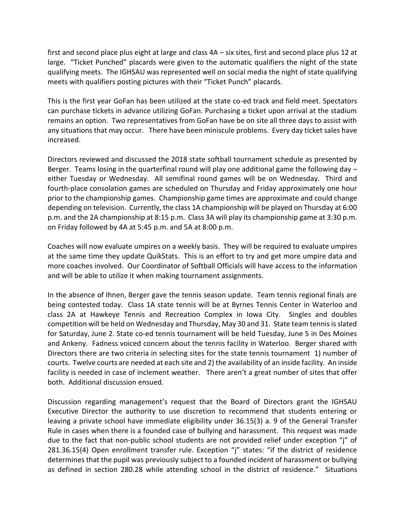first and second place plus eight at large and class 4A – six sites, first and second place plus 12 at large. "Ticket Punched" placards were given to the automatic qualifiers the night of the state qualifying meets. The IGHSAU was represented well on social media the night of state qualifying meets with qualifiers posting pictures with their "Ticket Punch" placards.

This is the first year GoFan has been utilized at the state co-ed track and field meet. Spectators can purchase tickets in advance utilizing GoFan. Purchasing a ticket upon arrival at the stadium remains an option. Two representatives from GoFan have be on site all three days to assist with any situations that may occur. There have been miniscule problems. Every day ticket sales have increased.

Directors reviewed and discussed the 2018 state softball tournament schedule as presented by Berger. Teams losing in the quarterfinal round will play one additional game the following day – either Tuesday or Wednesday. All semifinal round games will be on Wednesday. Third and fourth-place consolation games are scheduled on Thursday and Friday approximately one hour prior to the championship games. Championship game times are approximate and could change depending on television. Currently, the class 1A championship will be played on Thursday at 6:00 p.m. and the 2A championship at 8:15 p.m. Class 3A will play its championship game at 3:30 p.m. on Friday followed by 4A at 5:45 p.m. and 5A at 8:00 p.m.

Coaches will now evaluate umpires on a weekly basis. They will be required to evaluate umpires at the same time they update QuikStats. This is an effort to try and get more umpire data and more coaches involved. Our Coordinator of Softball Officials will have access to the information and will be able to utilize it when making tournament assignments.

In the absence of Ihnen, Berger gave the tennis season update. Team tennis regional finals are being contested today. Class 1A state tennis will be at Byrnes Tennis Center in Waterloo and class 2A at Hawkeye Tennis and Recreation Complex in Iowa City. Singles and doubles competition will be held on Wednesday and Thursday, May 30 and 31. State team tennis is slated for Saturday, June 2. State co-ed tennis tournament will be held Tuesday, June 5 in Des Moines and Ankeny. Fadness voiced concern about the tennis facility in Waterloo. Berger shared with Directors there are two criteria in selecting sites for the state tennis tournament 1) number of courts. Twelve courts are needed at each site and 2) the availability of an inside facility. An inside facility is needed in case of inclement weather. There aren't a great number of sites that offer both. Additional discussion ensued.

Discussion regarding management's request that the Board of Directors grant the IGHSAU Executive Director the authority to use discretion to recommend that students entering or leaving a private school have immediate eligibility under 36.15(3) a. 9 of the General Transfer Rule in cases when there is a founded case of bullying and harassment. This request was made due to the fact that non-public school students are not provided relief under exception "j" of 281.36.15(4) Open enrollment transfer rule. Exception "j" states: "if the district of residence determines that the pupil was previously subject to a founded incident of harassment or bullying as defined in section 280.28 while attending school in the district of residence." Situations